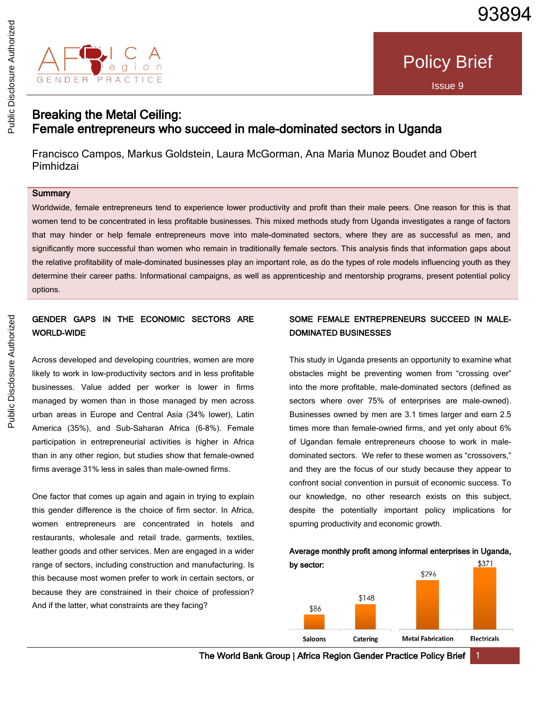

# Breaking the Metal Ceiling: Female entrepreneurs who succeed in male-dominated sectors in Uganda

Francisco Campos, Markus Goldstein, Laura McGorman, Ana Maria Munoz Boudet and Obert Pimhidzai

## **Summary**

Worldwide, female entrepreneurs tend to experience lower productivity and profit than their male peers. One reason for this is that women tend to be concentrated in less profitable businesses. This mixed methods study from Uganda investigates a range of factors that may hinder or help female entrepreneurs move into male-dominated sectors, where they are as successful as men, and significantly more successful than women who remain in traditionally female sectors. This analysis finds that information gaps about the relative profitability of male-dominated businesses play an important role, as do the types of role models influencing youth as they determine their career paths. Informational campaigns, as well as apprenticeship and mentorship programs, present potential policy options.

# GENDER GAPS IN THE ECONOMIC SECTORS ARE WORLD-WIDE

Across developed and developing countries, women are more likely to work in low-productivity sectors and in less profitable businesses. Value added per worker is lower in firms managed by women than in those managed by men across urban areas in Europe and Central Asia (34% lower), Latin America (35%), and Sub-Saharan Africa (6–8%). Female participation in entrepreneurial activities is higher in Africa than in any other region, but studies show that female-owned firms average 31% less in sales than male-owned firms.

One factor that comes up again and again in trying to explain this gender difference is the choice of firm sector. In Africa, women entrepreneurs are concentrated in hotels and restaurants, wholesale and retail trade, garments, textiles, leather goods and other services. Men are engaged in a wider range of sectors, including construction and manufacturing. Is this because most women prefer to work in certain sectors, or because they are constrained in their choice of profession? And if the latter, what constraints are they facing?

# SOME FEMALE ENTREPRENEURS SUCCEED IN MALE-DOMINATED BUSINESSES

This study in Uganda presents an opportunity to examine what obstacles might be preventing women from "crossing over" into the more profitable, male-dominated sectors (defined as sectors where over 75% of enterprises are male-owned). Businesses owned by men are 3.1 times larger and earn 2.5 times more than female-owned firms, and yet only about 6% of Ugandan female entrepreneurs choose to work in maledominated sectors. We refer to these women as "crossovers," and they are the focus of our study because they appear to confront social convention in pursuit of economic success. To our knowledge, no other research exists on this subject, despite the potentially important policy implications for spurring productivity and economic growth.



Average monthly profit among informal enterprises in Uganda,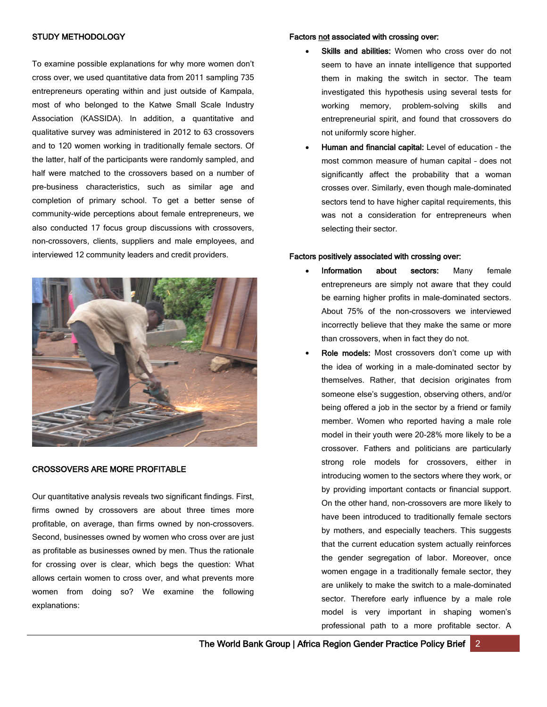#### STUDY METHODOLOGY

To examine possible explanations for why more women don't cross over, we used quantitative data from 2011 sampling 735 entrepreneurs operating within and just outside of Kampala, most of who belonged to the Katwe Small Scale Industry Association (KASSIDA). In addition, a quantitative and qualitative survey was administered in 2012 to 63 crossovers and to 120 women working in traditionally female sectors. Of the latter, half of the participants were randomly sampled, and half were matched to the crossovers based on a number of pre-business characteristics, such as similar age and completion of primary school. To get a better sense of community-wide perceptions about female entrepreneurs, we also conducted 17 focus group discussions with crossovers, non-crossovers, clients, suppliers and male employees, and interviewed 12 community leaders and credit providers.



### CROSSOVERS ARE MORE PROFITABLE

Our quantitative analysis reveals two significant findings. First, firms owned by crossovers are about three times more profitable, on average, than firms owned by non-crossovers. Second, businesses owned by women who cross over are just as profitable as businesses owned by men. Thus the rationale for crossing over is clear, which begs the question: What allows certain women to cross over, and what prevents more women from doing so? We examine the following explanations:

#### Factors not associated with crossing over:

- Skills and abilities: Women who cross over do not seem to have an innate intelligence that supported them in making the switch in sector. The team investigated this hypothesis using several tests for working memory, problem-solving skills and entrepreneurial spirit, and found that crossovers do not uniformly score higher.
- Human and financial capital: Level of education the most common measure of human capital – does not significantly affect the probability that a woman crosses over. Similarly, even though male-dominated sectors tend to have higher capital requirements, this was not a consideration for entrepreneurs when selecting their sector.

#### Factors positively associated with crossing over:

- Information about sectors: Many female entrepreneurs are simply not aware that they could be earning higher profits in male-dominated sectors. About 75% of the non-crossovers we interviewed incorrectly believe that they make the same or more than crossovers, when in fact they do not.
- Role models: Most crossovers don't come up with the idea of working in a male-dominated sector by themselves. Rather, that decision originates from someone else's suggestion, observing others, and/or being offered a job in the sector by a friend or family member. Women who reported having a male role model in their youth were 20-28% more likely to be a crossover. Fathers and politicians are particularly strong role models for crossovers, either in introducing women to the sectors where they work, or by providing important contacts or financial support. On the other hand, non-crossovers are more likely to have been introduced to traditionally female sectors by mothers, and especially teachers. This suggests that the current education system actually reinforces the gender segregation of labor. Moreover, once women engage in a traditionally female sector, they are unlikely to make the switch to a male-dominated sector. Therefore early influence by a male role model is very important in shaping women's professional path to a more profitable sector. A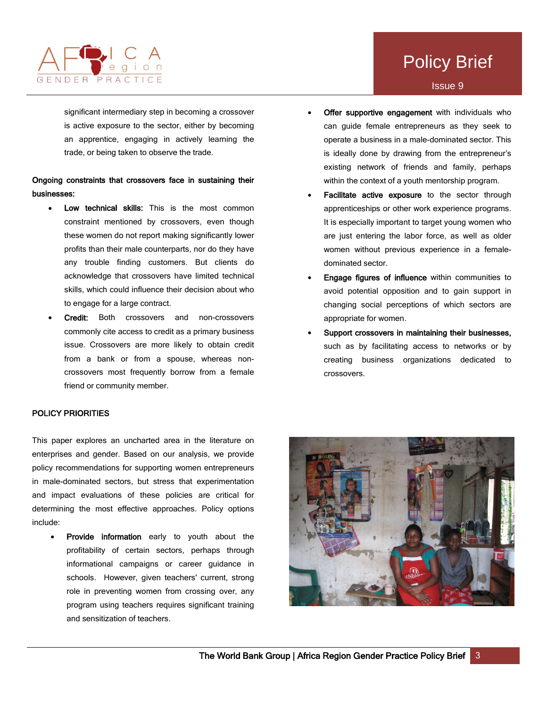

Policy Brief

significant intermediary step in becoming a crossover is active exposure to the sector, either by becoming an apprentice, engaging in actively learning the trade, or being taken to observe the trade.

## Ongoing constraints that crossovers face in sustaining their businesses:

- Low technical skills: This is the most common constraint mentioned by crossovers, even though these women do not report making significantly lower profits than their male counterparts, nor do they have any trouble finding customers. But clients do acknowledge that crossovers have limited technical skills, which could influence their decision about who to engage for a large contract.
- Credit: Both crossovers and non-crossovers commonly cite access to credit as a primary business issue. Crossovers are more likely to obtain credit from a bank or from a spouse, whereas noncrossovers most frequently borrow from a female friend or community member.

## POLICY PRIORITIES

This paper explores an uncharted area in the literature on enterprises and gender. Based on our analysis, we provide policy recommendations for supporting women entrepreneurs in male-dominated sectors, but stress that experimentation and impact evaluations of these policies are critical for determining the most effective approaches. Policy options include:

Provide information early to youth about the profitability of certain sectors, perhaps through informational campaigns or career guidance in schools. However, given teachers' current, strong role in preventing women from crossing over, any program using teachers requires significant training and sensitization of teachers.

- Offer supportive engagement with individuals who can guide female entrepreneurs as they seek to operate a business in a male-dominated sector. This is ideally done by drawing from the entrepreneur's existing network of friends and family, perhaps within the context of a youth mentorship program.
- Facilitate active exposure to the sector through apprenticeships or other work experience programs. It is especially important to target young women who are just entering the labor force, as well as older women without previous experience in a femaledominated sector.
- **Engage figures of influence** within communities to avoid potential opposition and to gain support in changing social perceptions of which sectors are appropriate for women.
- Support crossovers in maintaining their businesses, such as by facilitating access to networks or by creating business organizations dedicated to crossovers.